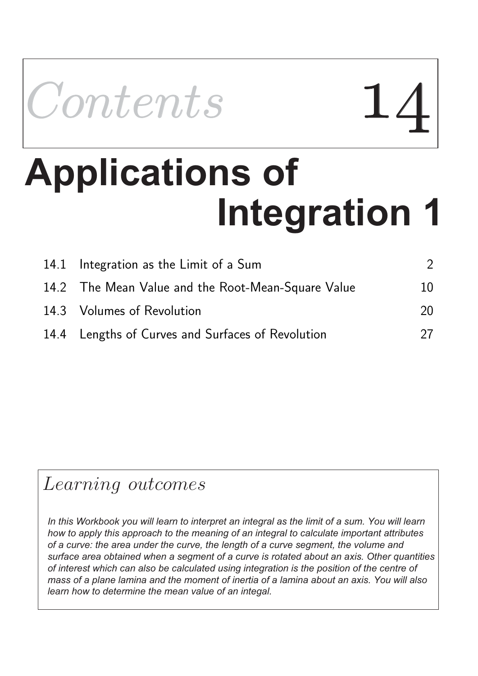

# **Integration 1 Applications of the property of**  $\blacksquare$

| 14.1 Integration as the Limit of a Sum             |    |
|----------------------------------------------------|----|
| 14.2 The Mean Value and the Root-Mean-Square Value | 10 |
| 14.3 Volumes of Revolution                         | 20 |
| 14.4 Lengths of Curves and Surfaces of Revolution  | 27 |

# Learning outcomes

In this Workbook you will learn to interpret an integral as the limit of a sum. You will learn *how to apply this approach to the meaning of an integral to calculate important attributes of a curve: the area under the curve, the length of a curve segment, the volume and surface area obtained when a segment of a curve is rotated about an axis. Other quantities of interest which can also be calculated using integration is the position of the centre of mass of a plane lamina and the moment of inertia of a lamina about an axis. You will also learn how to determine the mean value of an integal.*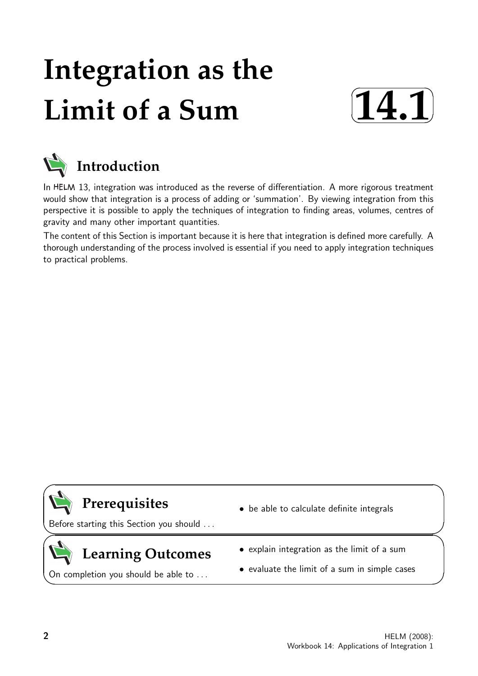# **Integration as the Limit of a Sum**





In HELM 13, integration was introduced as the reverse of differentiation. A more rigorous treatment would show that integration is a process of adding or 'summation'. By viewing integration from this perspective it is possible to apply the techniques of integration to finding areas, volumes, centres of gravity and many other important quantities.

The content of this Section is important because it is here that integration is defined more carefully. A thorough understanding of the process involved is essential if you need to apply integration techniques to practical problems.



 $\searrow$ 

 $\geq$ 

 $\overline{\phantom{0}}$ 

### **Prerequisites**

Before starting this Section you should . . .

## **Learning Outcomes**

On completion you should be able to ...

- be able to calculate definite integrals
- explain integration as the limit of a sum
- evaluate the limit of a sum in simple cases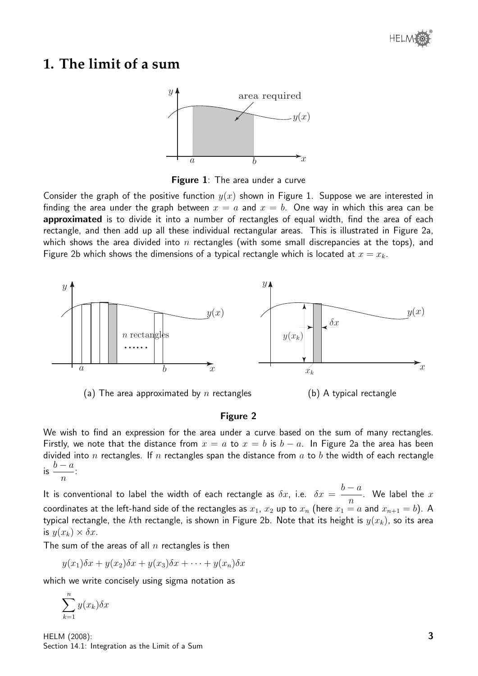### **1. The limit of a sum**



Figure 1: The area under a curve

Consider the graph of the positive function  $y(x)$  shown in Figure 1. Suppose we are interested in finding the area under the graph between  $x = a$  and  $x = b$ . One way in which this area can be approximated is to divide it into a number of rectangles of equal width, find the area of each rectangle, and then add up all these individual rectangular areas. This is illustrated in Figure 2a, which shows the area divided into n rectangles (with some small discrepancies at the tops), and Figure 2b which shows the dimensions of a typical rectangle which is located at  $x = x_k$ .



(a) The area approximated by n rectangles (b) A typical rectangle

#### Figure 2

We wish to find an expression for the area under a curve based on the sum of many rectangles. Firstly, we note that the distance from  $x = a$  to  $x = b$  is  $b - a$ . In Figure 2a the area has been divided into n rectangles. If n rectangles span the distance from  $a$  to  $b$  the width of each rectangle  $\int$  is  $\frac{b-a}{a}$  $\overline{n}$ :

It is conventional to label the width of each rectangle as  $\delta x$ , i.e.  $\delta x =$  $b - a$ n . We label the  $x$ coordinates at the left-hand side of the rectangles as  $x_1$ ,  $x_2$  up to  $x_n$  (here  $x_1 = a$  and  $x_{n+1} = b$ ). A typical rectangle, the kth rectangle, is shown in Figure 2b. Note that its height is  $y(x_k)$ , so its area is  $y(x_k) \times \delta x$ .

The sum of the areas of all  $n$  rectangles is then

$$
y(x_1)\delta x + y(x_2)\delta x + y(x_3)\delta x + \cdots + y(x_n)\delta x
$$

which we write concisely using sigma notation as

 $\sum_{k=1}^{n} y(x_k) \delta x$  $_{k=1}$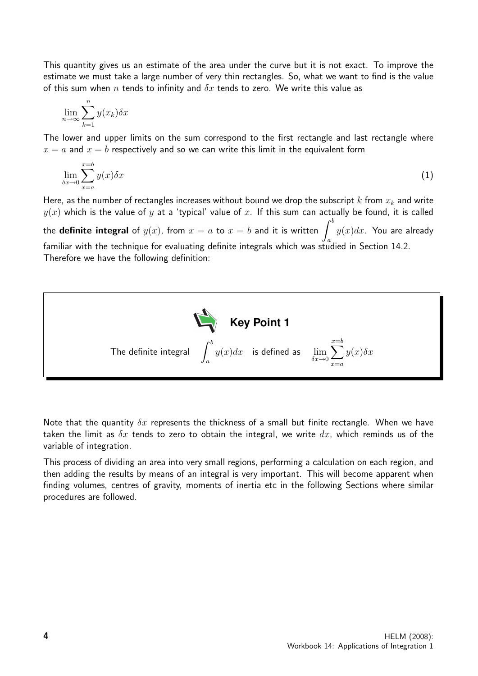This quantity gives us an estimate of the area under the curve but it is not exact. To improve the estimate we must take a large number of very thin rectangles. So, what we want to find is the value of this sum when n tends to infinity and  $\delta x$  tends to zero. We write this value as

$$
\lim_{n \to \infty} \sum_{k=1}^{n} y(x_k) \delta x
$$

The lower and upper limits on the sum correspond to the first rectangle and last rectangle where  $x = a$  and  $x = b$  respectively and so we can write this limit in the equivalent form

$$
\lim_{\delta x \to 0} \sum_{x=a}^{x=b} y(x) \delta x \tag{1}
$$

Here, as the number of rectangles increases without bound we drop the subscript k from  $x_k$  and write  $y(x)$  which is the value of y at a 'typical' value of x. If this sum can actually be found, it is called the definite integral of  $y(x)$ , from  $x = a$  to  $x = b$  and it is written  $\int^b$ a  $y(x)dx$ . You are already familiar with the technique for evaluating definite integrals which was studied in Section 14.2. Therefore we have the following definition:



Note that the quantity  $\delta x$  represents the thickness of a small but finite rectangle. When we have taken the limit as  $\delta x$  tends to zero to obtain the integral, we write  $dx$ , which reminds us of the variable of integration.

This process of dividing an area into very small regions, performing a calculation on each region, and then adding the results by means of an integral is very important. This will become apparent when finding volumes, centres of gravity, moments of inertia etc in the following Sections where similar procedures are followed.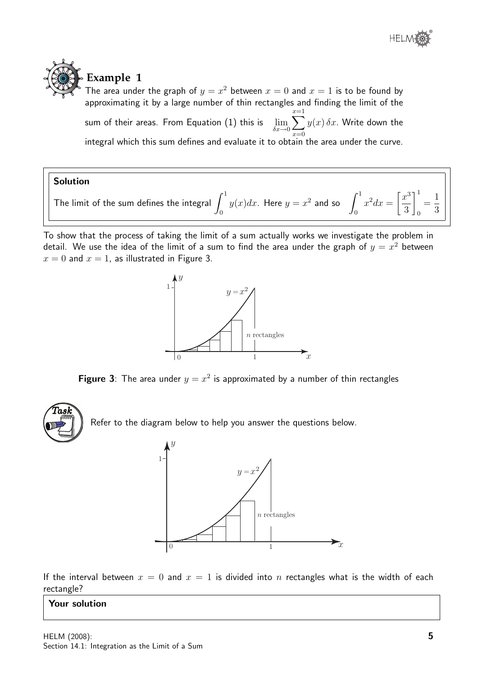

# **Example 1**

The area under the graph of  $y = x^2$  between  $x = 0$  and  $x = 1$  is to be found by approximating it by a large number of thin rectangles and finding the limit of the sum of their areas. From Equation  $(1)$  this is  $\delta x \rightarrow 0$  $\sum_{ }^{x=1}$  $x=0$  $y(x) \, \delta x$ . Write down the integral which this sum defines and evaluate it to obtain the area under the curve.

#### Solution

The limit of the sum defines the integral  $\int^1$ 0  $y(x)dx$ . Here  $y=x^2$  and so  $\int^1$ 0  $x^2 dx =$  $\lceil x^3 \rceil$ 3  $\overline{1}^1$  $\mathbf 0$ = 1 3

To show that the process of taking the limit of a sum actually works we investigate the problem in detail. We use the idea of the limit of a sum to find the area under the graph of  $y = x^2$  between  $x = 0$  and  $x = 1$ , as illustrated in Figure 3.



Figure 3: The area under  $y = x^2$  is approximated by a number of thin rectangles



Refer to the diagram below to help you answer the questions below.



If the interval between  $x = 0$  and  $x = 1$  is divided into n rectangles what is the width of each rectangle?

#### Your solution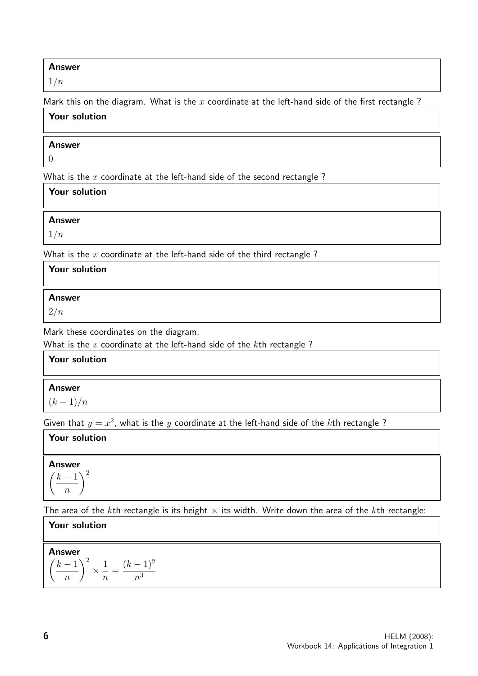#### Answer

 $1/n$ 

Mark this on the diagram. What is the  $x$  coordinate at the left-hand side of the first rectangle?

| Your solution |  |  |
|---------------|--|--|
| <b>Answer</b> |  |  |

0

What is the  $x$  coordinate at the left-hand side of the second rectangle ?

| Your solution |  |
|---------------|--|
| Answer        |  |
| 1/n           |  |

What is the  $x$  coordinate at the left-hand side of the third rectangle?

| Your solution                          |  |
|----------------------------------------|--|
| <b>Answer</b><br>2/n                   |  |
| Mark these coordinates on the diagram. |  |

What is the  $x$  coordinate at the left-hand side of the  $k$ th rectangle?

| Your solution |  |
|---------------|--|
| <b>Answer</b> |  |
| $(k-1)/n$     |  |

Given that  $y = x^2$ , what is the y coordinate at the left-hand side of the kth rectangle?

#### Your solution

Answer  $\sqrt{ }$  $k-1$  $\overline{n}$ 2

The area of the kth rectangle is its height  $\times$  its width. Write down the area of the kth rectangle:

| <b>Your solution</b>                                                                                                                                   |
|--------------------------------------------------------------------------------------------------------------------------------------------------------|
| <b>Answer</b><br>$\sim$ 2<br>1 <sup>2</sup><br>k<br>$\kappa$<br>$\frac{1}{1}$<br>$\overline{\phantom{a}}$<br>$\boldsymbol{n}$<br>$n^{\circ}$<br>$\, n$ |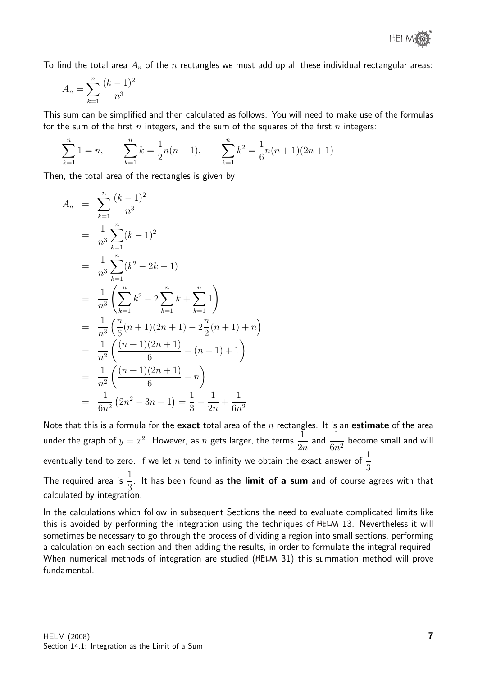

To find the total area  $A_n$  of the n rectangles we must add up all these individual rectangular areas:

$$
A_n = \sum_{k=1}^n \frac{(k-1)^2}{n^3}
$$

This sum can be simplified and then calculated as follows. You will need to make use of the formulas for the sum of the first n integers, and the sum of the squares of the first n integers:

$$
\sum_{k=1}^{n} 1 = n, \qquad \sum_{k=1}^{n} k = \frac{1}{2}n(n+1), \qquad \sum_{k=1}^{n} k^2 = \frac{1}{6}n(n+1)(2n+1)
$$

Then, the total area of the rectangles is given by

$$
A_n = \sum_{k=1}^n \frac{(k-1)^2}{n^3}
$$
  
\n
$$
= \frac{1}{n^3} \sum_{k=1}^n (k-1)^2
$$
  
\n
$$
= \frac{1}{n^3} \sum_{k=1}^n (k^2 - 2k + 1)
$$
  
\n
$$
= \frac{1}{n^3} \left( \sum_{k=1}^n k^2 - 2 \sum_{k=1}^n k + \sum_{k=1}^n 1 \right)
$$
  
\n
$$
= \frac{1}{n^3} \left( \frac{n}{6} (n+1)(2n+1) - 2 \frac{n}{2} (n+1) + n \right)
$$
  
\n
$$
= \frac{1}{n^2} \left( \frac{(n+1)(2n+1)}{6} - (n+1) + 1 \right)
$$
  
\n
$$
= \frac{1}{n^2} \left( \frac{(n+1)(2n+1)}{6} - n \right)
$$
  
\n
$$
= \frac{1}{6n^2} (2n^2 - 3n + 1) = \frac{1}{3} - \frac{1}{2n} + \frac{1}{6n^2}
$$

Note that this is a formula for the exact total area of the  $n$  rectangles. It is an estimate of the area under the graph of  $y=x^2$ . However, as  $n$  gets larger, the terms  $\frac{1}{2}$  $2n$ and  $\frac{1}{a}$  $\frac{1}{6n^2}$  become small and will eventually tend to zero. If we let  $n$  tend to infinity we obtain the exact answer of  $\frac{1}{2}$ 3 .

The required area is  $\frac{1}{2}$ 3 . It has been found as the limit of a sum and of course agrees with that calculated by integration.

In the calculations which follow in subsequent Sections the need to evaluate complicated limits like this is avoided by performing the integration using the techniques of HELM 13. Nevertheless it will sometimes be necessary to go through the process of dividing a region into small sections, performing a calculation on each section and then adding the results, in order to formulate the integral required. When numerical methods of integration are studied (HELM 31) this summation method will prove fundamental.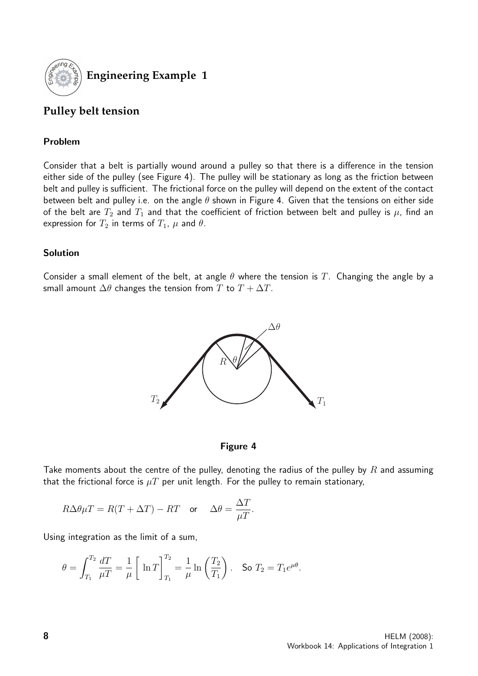

**Engineering Example 1**

#### **Pulley belt tension**

#### Problem

Consider that a belt is partially wound around a pulley so that there is a difference in the tension either side of the pulley (see Figure 4). The pulley will be stationary as long as the friction between belt and pulley is sufficient. The frictional force on the pulley will depend on the extent of the contact between belt and pulley i.e. on the angle  $\theta$  shown in Figure 4. Given that the tensions on either side of the belt are  $T_2$  and  $T_1$  and that the coefficient of friction between belt and pulley is  $\mu$ , find an expression for  $T_2$  in terms of  $T_1$ ,  $\mu$  and  $\theta$ .

#### Solution

Consider a small element of the belt, at angle  $\theta$  where the tension is T. Changing the angle by a small amount  $\Delta\theta$  changes the tension from T to  $T + \Delta T$ .



#### Figure 4

Take moments about the centre of the pulley, denoting the radius of the pulley by R and assuming that the frictional force is  $\mu T$  per unit length. For the pulley to remain stationary,

$$
R\Delta\theta\mu T = R(T+\Delta T)-RT \quad \text{or} \quad \Delta\theta = \frac{\Delta T}{\mu T}.
$$

Using integration as the limit of a sum,

$$
\theta = \int_{T_1}^{T_2} \frac{dT}{\mu T} = \frac{1}{\mu} \left[ \ln T \right]_{T_1}^{T_2} = \frac{1}{\mu} \ln \left( \frac{T_2}{T_1} \right). \quad \text{So } T_2 = T_1 e^{\mu \theta}.
$$